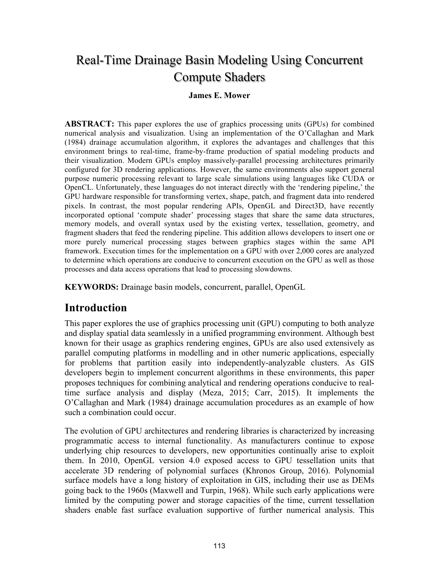# Real-Time Drainage Basin Modeling Using Concurrent Compute Shaders

#### **James E. Mower**

**ABSTRACT:** This paper explores the use of graphics processing units (GPUs) for combined numerical analysis and visualization. Using an implementation of the O'Callaghan and Mark (1984) drainage accumulation algorithm, it explores the advantages and challenges that this environment brings to real-time, frame-by-frame production of spatial modeling products and their visualization. Modern GPUs employ massively-parallel processing architectures primarily configured for 3D rendering applications. However, the same environments also support general purpose numeric processing relevant to large scale simulations using languages like CUDA or OpenCL. Unfortunately, these languages do not interact directly with the 'rendering pipeline,' the GPU hardware responsible for transforming vertex, shape, patch, and fragment data into rendered pixels. In contrast, the most popular rendering APIs, OpenGL and Direct3D, have recently incorporated optional 'compute shader' processing stages that share the same data structures, memory models, and overall syntax used by the existing vertex, tessellation, geometry, and fragment shaders that feed the rendering pipeline. This addition allows developers to insert one or more purely numerical processing stages between graphics stages within the same API framework. Execution times for the implementation on a GPU with over 2,000 cores are analyzed to determine which operations are conducive to concurrent execution on the GPU as well as those processes and data access operations that lead to processing slowdowns.

**KEYWORDS:** Drainage basin models, concurrent, parallel, OpenGL

#### **Introduction**

This paper explores the use of graphics processing unit (GPU) computing to both analyze and display spatial data seamlessly in a unified programming environment. Although best known for their usage as graphics rendering engines, GPUs are also used extensively as parallel computing platforms in modelling and in other numeric applications, especially for problems that partition easily into independently-analyzable clusters. As GIS developers begin to implement concurrent algorithms in these environments, this paper proposes techniques for combining analytical and rendering operations conducive to realtime surface analysis and display (Meza, 2015; Carr, 2015). It implements the O'Callaghan and Mark (1984) drainage accumulation procedures as an example of how such a combination could occur.

The evolution of GPU architectures and rendering libraries is characterized by increasing programmatic access to internal functionality. As manufacturers continue to expose underlying chip resources to developers, new opportunities continually arise to exploit them. In 2010, OpenGL version 4.0 exposed access to GPU tessellation units that accelerate 3D rendering of polynomial surfaces (Khronos Group, 2016). Polynomial surface models have a long history of exploitation in GIS, including their use as DEMs going back to the 1960s (Maxwell and Turpin, 1968). While such early applications were limited by the computing power and storage capacities of the time, current tessellation shaders enable fast surface evaluation supportive of further numerical analysis. This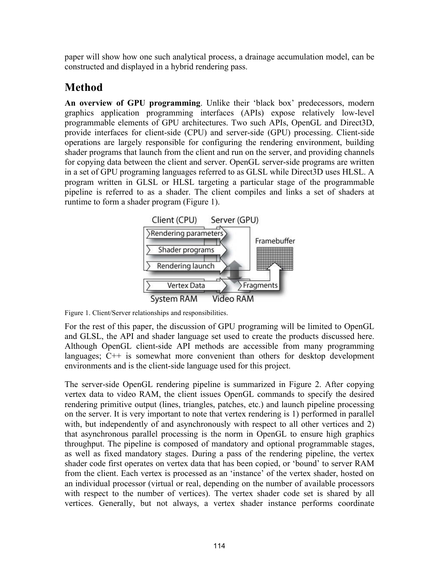paper will show how one such analytical process, a drainage accumulation model, can be constructed and displayed in a hybrid rendering pass.

### **Method**

**An overview of GPU programming**. Unlike their 'black box' predecessors, modern graphics application programming interfaces (APIs) expose relatively low-level programmable elements of GPU architectures. Two such APIs, OpenGL and Direct3D, provide interfaces for client-side (CPU) and server-side (GPU) processing. Client-side operations are largely responsible for configuring the rendering environment, building shader programs that launch from the client and run on the server, and providing channels for copying data between the client and server. OpenGL server-side programs are written in a set of GPU programing languages referred to as GLSL while Direct3D uses HLSL. A program written in GLSL or HLSL targeting a particular stage of the programmable pipeline is referred to as a shader. The client compiles and links a set of shaders at runtime to form a shader program (Figure 1).



Figure 1. Client/Server relationships and responsibilities.

For the rest of this paper, the discussion of GPU programing will be limited to OpenGL and GLSL, the API and shader language set used to create the products discussed here. Although OpenGL client-side API methods are accessible from many programming languages; C++ is somewhat more convenient than others for desktop development environments and is the client-side language used for this project.

The server-side OpenGL rendering pipeline is summarized in Figure 2. After copying vertex data to video RAM, the client issues OpenGL commands to specify the desired rendering primitive output (lines, triangles, patches, etc.) and launch pipeline processing on the server. It is very important to note that vertex rendering is 1) performed in parallel with, but independently of and asynchronously with respect to all other vertices and 2) that asynchronous parallel processing is the norm in OpenGL to ensure high graphics throughput. The pipeline is composed of mandatory and optional programmable stages, as well as fixed mandatory stages. During a pass of the rendering pipeline, the vertex shader code first operates on vertex data that has been copied, or 'bound' to server RAM from the client. Each vertex is processed as an 'instance' of the vertex shader, hosted on an individual processor (virtual or real, depending on the number of available processors with respect to the number of vertices). The vertex shader code set is shared by all vertices. Generally, but not always, a vertex shader instance performs coordinate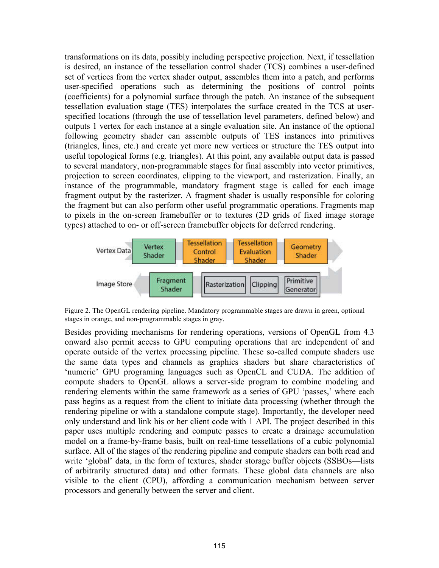transformations on its data, possibly including perspective projection. Next, if tessellation is desired, an instance of the tessellation control shader (TCS) combines a user-defined set of vertices from the vertex shader output, assembles them into a patch, and performs user-specified operations such as determining the positions of control points (coefficients) for a polynomial surface through the patch. An instance of the subsequent tessellation evaluation stage (TES) interpolates the surface created in the TCS at userspecified locations (through the use of tessellation level parameters, defined below) and outputs 1 vertex for each instance at a single evaluation site. An instance of the optional following geometry shader can assemble outputs of TES instances into primitives (triangles, lines, etc.) and create yet more new vertices or structure the TES output into useful topological forms (e.g. triangles). At this point, any available output data is passed to several mandatory, non-programmable stages for final assembly into vector primitives, projection to screen coordinates, clipping to the viewport, and rasterization. Finally, an instance of the programmable, mandatory fragment stage is called for each image fragment output by the rasterizer. A fragment shader is usually responsible for coloring the fragment but can also perform other useful programmatic operations. Fragments map to pixels in the on-screen framebuffer or to textures (2D grids of fixed image storage types) attached to on- or off-screen framebuffer objects for deferred rendering.



Figure 2. The OpenGL rendering pipeline. Mandatory programmable stages are drawn in green, optional stages in orange, and non-programmable stages in gray.

Besides providing mechanisms for rendering operations, versions of OpenGL from 4.3 onward also permit access to GPU computing operations that are independent of and operate outside of the vertex processing pipeline. These so-called compute shaders use the same data types and channels as graphics shaders but share characteristics of 'numeric' GPU programing languages such as OpenCL and CUDA. The addition of compute shaders to OpenGL allows a server-side program to combine modeling and rendering elements within the same framework as a series of GPU 'passes,' where each pass begins as a request from the client to initiate data processing (whether through the rendering pipeline or with a standalone compute stage). Importantly, the developer need only understand and link his or her client code with 1 API. The project described in this paper uses multiple rendering and compute passes to create a drainage accumulation model on a frame-by-frame basis, built on real-time tessellations of a cubic polynomial surface. All of the stages of the rendering pipeline and compute shaders can both read and write 'global' data, in the form of textures, shader storage buffer objects (SSBOs—lists of arbitrarily structured data) and other formats. These global data channels are also visible to the client (CPU), affording a communication mechanism between server processors and generally between the server and client.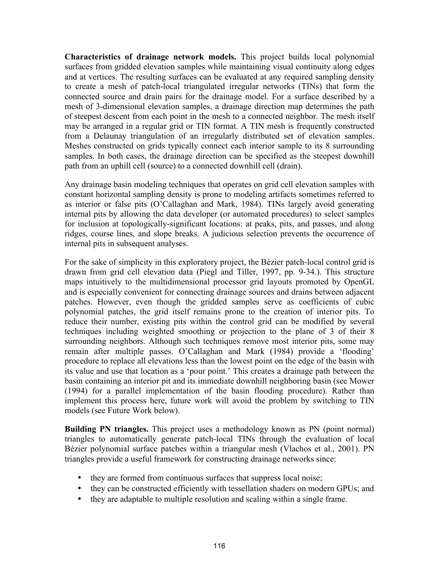**Characteristics of drainage network models.** This project builds local polynomial surfaces from gridded elevation samples while maintaining visual continuity along edges and at vertices. The resulting surfaces can be evaluated at any required sampling density to create a mesh of patch-local triangulated irregular networks (TINs) that form the connected source and drain pairs for the drainage model. For a surface described by a mesh of 3-dimensional elevation samples, a drainage direction map determines the path of steepest descent from each point in the mesh to a connected neighbor. The mesh itself may be arranged in a regular grid or TIN format. A TIN mesh is frequently constructed from a Delaunay triangulation of an irregularly distributed set of elevation samples. Meshes constructed on grids typically connect each interior sample to its 8 surrounding samples. In both cases, the drainage direction can be specified as the steepest downhill path from an uphill cell (source) to a connected downhill cell (drain).

Any drainage basin modeling techniques that operates on grid cell elevation samples with constant horizontal sampling density is prone to modeling artifacts sometimes referred to as interior or false pits (O'Callaghan and Mark, 1984). TINs largely avoid generating internal pits by allowing the data developer (or automated procedures) to select samples for inclusion at topologically-significant locations: at peaks, pits, and passes, and along ridges, course lines, and slope breaks. A judicious selection prevents the occurrence of internal pits in subsequent analyses.

For the sake of simplicity in this exploratory project, the Bézier patch-local control grid is drawn from grid cell elevation data (Piegl and Tiller, 1997, pp. 9-34.). This structure maps intuitively to the multidimensional processor grid layouts promoted by OpenGL and is especially convenient for connecting drainage sources and drains between adjacent patches. However, even though the gridded samples serve as coefficients of cubic polynomial patches, the grid itself remains prone to the creation of interior pits. To reduce their number, existing pits within the control grid can be modified by several techniques including weighted smoothing or projection to the plane of 3 of their 8 surrounding neighbors. Although such techniques remove most interior pits, some may remain after multiple passes. O'Callaghan and Mark (1984) provide a 'flooding' procedure to replace all elevations less than the lowest point on the edge of the basin with its value and use that location as a 'pour point.' This creates a drainage path between the basin containing an interior pit and its immediate downhill neighboring basin (see Mower (1994) for a parallel implementation of the basin flooding procedure). Rather than implement this process here, future work will avoid the problem by switching to TIN models (see Future Work below).

**Building PN triangles.** This project uses a methodology known as PN (point normal) triangles to automatically generate patch-local TINs through the evaluation of local Bézier polynomial surface patches within a triangular mesh (Vlachos et al., 2001). PN triangles provide a useful framework for constructing drainage networks since:

- they are formed from continuous surfaces that suppress local noise;
- they can be constructed efficiently with tessellation shaders on modern GPUs; and
- they are adaptable to multiple resolution and scaling within a single frame.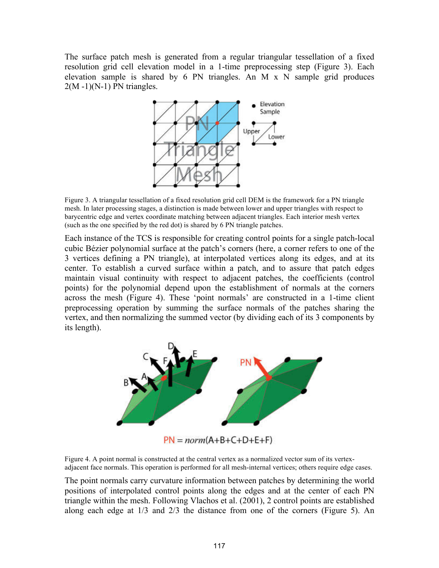The surface patch mesh is generated from a regular triangular tessellation of a fixed resolution grid cell elevation model in a 1-time preprocessing step (Figure 3). Each elevation sample is shared by 6 PN triangles. An M x N sample grid produces  $2(M - 1)(N-1)$  PN triangles.



Figure 3. A triangular tessellation of a fixed resolution grid cell DEM is the framework for a PN triangle mesh. In later processing stages, a distinction is made between lower and upper triangles with respect to barycentric edge and vertex coordinate matching between adjacent triangles. Each interior mesh vertex (such as the one specified by the red dot) is shared by 6 PN triangle patches.

Each instance of the TCS is responsible for creating control points for a single patch-local cubic Bézier polynomial surface at the patch's corners (here, a corner refers to one of the 3 vertices defining a PN triangle), at interpolated vertices along its edges, and at its center. To establish a curved surface within a patch, and to assure that patch edges maintain visual continuity with respect to adjacent patches, the coefficients (control points) for the polynomial depend upon the establishment of normals at the corners across the mesh (Figure 4). These 'point normals' are constructed in a 1-time client preprocessing operation by summing the surface normals of the patches sharing the vertex, and then normalizing the summed vector (by dividing each of its 3 components by its length).



 $PN = norm(A+B+C+D+E+F)$ 

Figure 4. A point normal is constructed at the central vertex as a normalized vector sum of its vertexadjacent face normals. This operation is performed for all mesh-internal vertices; others require edge cases.

The point normals carry curvature information between patches by determining the world positions of interpolated control points along the edges and at the center of each PN triangle within the mesh. Following Vlachos et al. (2001), 2 control points are established along each edge at 1/3 and 2/3 the distance from one of the corners (Figure 5). An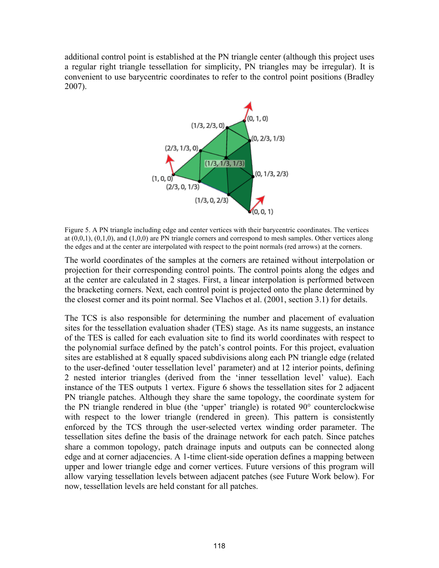additional control point is established at the PN triangle center (although this project uses a regular right triangle tessellation for simplicity, PN triangles may be irregular). It is convenient to use barycentric coordinates to refer to the control point positions (Bradley 2007).



Figure 5. A PN triangle including edge and center vertices with their barycentric coordinates. The vertices at (0,0,1), (0,1,0), and (1,0,0) are PN triangle corners and correspond to mesh samples. Other vertices along the edges and at the center are interpolated with respect to the point normals (red arrows) at the corners.

The world coordinates of the samples at the corners are retained without interpolation or projection for their corresponding control points. The control points along the edges and at the center are calculated in 2 stages. First, a linear interpolation is performed between the bracketing corners. Next, each control point is projected onto the plane determined by the closest corner and its point normal. See Vlachos et al. (2001, section 3.1) for details.

The TCS is also responsible for determining the number and placement of evaluation sites for the tessellation evaluation shader (TES) stage. As its name suggests, an instance of the TES is called for each evaluation site to find its world coordinates with respect to the polynomial surface defined by the patch's control points. For this project, evaluation sites are established at 8 equally spaced subdivisions along each PN triangle edge (related to the user-defined 'outer tessellation level' parameter) and at 12 interior points, defining 2 nested interior triangles (derived from the 'inner tessellation level' value). Each instance of the TES outputs 1 vertex. Figure 6 shows the tessellation sites for 2 adjacent PN triangle patches. Although they share the same topology, the coordinate system for the PN triangle rendered in blue (the 'upper' triangle) is rotated 90° counterclockwise with respect to the lower triangle (rendered in green). This pattern is consistently enforced by the TCS through the user-selected vertex winding order parameter. The tessellation sites define the basis of the drainage network for each patch. Since patches share a common topology, patch drainage inputs and outputs can be connected along edge and at corner adjacencies. A 1-time client-side operation defines a mapping between upper and lower triangle edge and corner vertices. Future versions of this program will allow varying tessellation levels between adjacent patches (see Future Work below). For now, tessellation levels are held constant for all patches.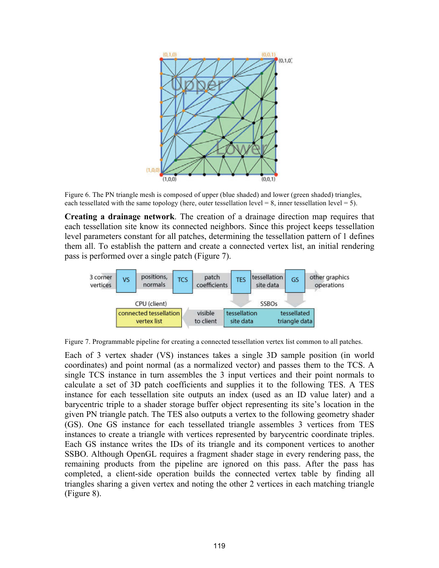

Figure 6. The PN triangle mesh is composed of upper (blue shaded) and lower (green shaded) triangles, each tessellated with the same topology (here, outer tessellation level = 8, inner tessellation level = 5).

**Creating a drainage network**. The creation of a drainage direction map requires that each tessellation site know its connected neighbors. Since this project keeps tessellation level parameters constant for all patches, determining the tessellation pattern of 1 defines them all. To establish the pattern and create a connected vertex list, an initial rendering pass is performed over a single patch (Figure 7).



Figure 7. Programmable pipeline for creating a connected tessellation vertex list common to all patches.

Each of 3 vertex shader (VS) instances takes a single 3D sample position (in world coordinates) and point normal (as a normalized vector) and passes them to the TCS. A single TCS instance in turn assembles the 3 input vertices and their point normals to calculate a set of 3D patch coefficients and supplies it to the following TES. A TES instance for each tessellation site outputs an index (used as an ID value later) and a barycentric triple to a shader storage buffer object representing its site's location in the given PN triangle patch. The TES also outputs a vertex to the following geometry shader (GS). One GS instance for each tessellated triangle assembles 3 vertices from TES instances to create a triangle with vertices represented by barycentric coordinate triples. Each GS instance writes the IDs of its triangle and its component vertices to another SSBO. Although OpenGL requires a fragment shader stage in every rendering pass, the remaining products from the pipeline are ignored on this pass. After the pass has completed, a client-side operation builds the connected vertex table by finding all triangles sharing a given vertex and noting the other 2 vertices in each matching triangle (Figure 8).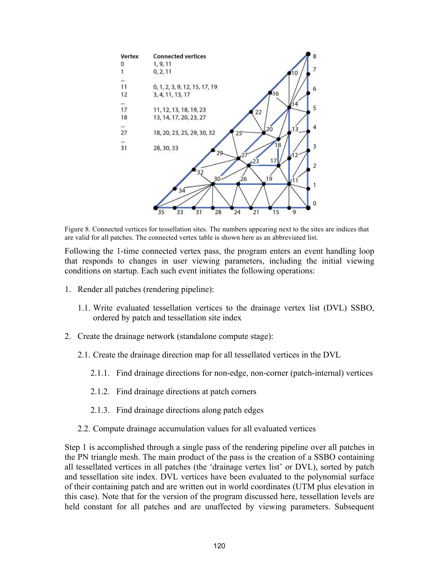

Figure 8. Connected vertices for tessellation sites. The numbers appearing next to the sites are indices that are valid for all patches. The connected vertex table is shown here as an abbreviated list.

Following the 1-time connected vertex pass, the program enters an event handling loop that responds to changes in user viewing parameters, including the initial viewing conditions on startup. Each such event initiates the following operations:

- 1. Render all patches (rendering pipeline):
	- 1.1. Write evaluated tessellation vertices to the drainage vertex list (DVL) SSBO, ordered by patch and tessellation site index
- 2. Create the drainage network (standalone compute stage):
	- 2.1. Create the drainage direction map for all tessellated vertices in the DVL
		- 2.1.1. Find drainage directions for non-edge, non-corner (patch-internal) vertices
		- 2.1.2. Find drainage directions at patch corners
		- 2.1.3. Find drainage directions along patch edges
	- 2.2. Compute drainage accumulation values for all evaluated vertices

Step 1 is accomplished through a single pass of the rendering pipeline over all patches in the PN triangle mesh. The main product of the pass is the creation of a SSBO containing all tessellated vertices in all patches (the 'drainage vertex list' or DVL), sorted by patch and tessellation site index. DVL vertices have been evaluated to the polynomial surface of their containing patch and are written out in world coordinates (UTM plus elevation in this case). Note that for the version of the program discussed here, tessellation levels are held constant for all patches and are unaffected by viewing parameters. Subsequent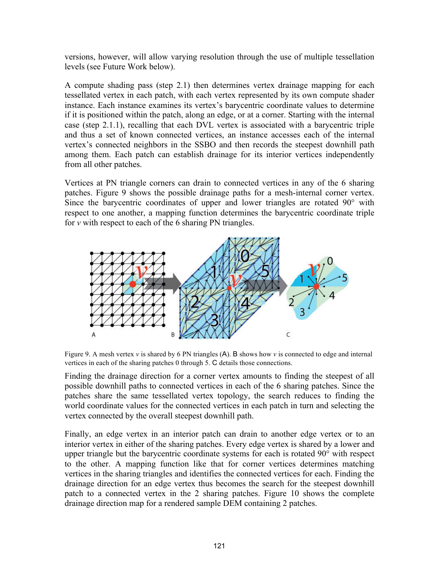versions, however, will allow varying resolution through the use of multiple tessellation levels (see Future Work below).

A compute shading pass (step 2.1) then determines vertex drainage mapping for each tessellated vertex in each patch, with each vertex represented by its own compute shader instance. Each instance examines its vertex's barycentric coordinate values to determine if it is positioned within the patch, along an edge, or at a corner. Starting with the internal case (step 2.1.1), recalling that each DVL vertex is associated with a barycentric triple and thus a set of known connected vertices, an instance accesses each of the internal vertex's connected neighbors in the SSBO and then records the steepest downhill path among them. Each patch can establish drainage for its interior vertices independently from all other patches.

Vertices at PN triangle corners can drain to connected vertices in any of the 6 sharing patches. Figure 9 shows the possible drainage paths for a mesh-internal corner vertex. Since the barycentric coordinates of upper and lower triangles are rotated 90° with respect to one another, a mapping function determines the barycentric coordinate triple for *v* with respect to each of the 6 sharing PN triangles.



Figure 9. A mesh vertex *v* is shared by 6 PN triangles (A). B shows how *v* is connected to edge and internal vertices in each of the sharing patches 0 through 5. C details those connections.

Finding the drainage direction for a corner vertex amounts to finding the steepest of all possible downhill paths to connected vertices in each of the 6 sharing patches. Since the patches share the same tessellated vertex topology, the search reduces to finding the world coordinate values for the connected vertices in each patch in turn and selecting the vertex connected by the overall steepest downhill path.

Finally, an edge vertex in an interior patch can drain to another edge vertex or to an interior vertex in either of the sharing patches. Every edge vertex is shared by a lower and upper triangle but the barycentric coordinate systems for each is rotated 90° with respect to the other. A mapping function like that for corner vertices determines matching vertices in the sharing triangles and identifies the connected vertices for each. Finding the drainage direction for an edge vertex thus becomes the search for the steepest downhill patch to a connected vertex in the 2 sharing patches. Figure 10 shows the complete drainage direction map for a rendered sample DEM containing 2 patches.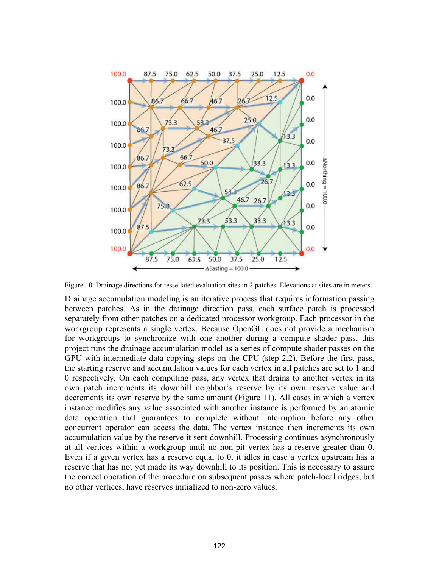

Figure 10. Drainage directions for tessellated evaluation sites in 2 patches. Elevations at sites are in meters.

Drainage accumulation modeling is an iterative process that requires information passing between patches. As in the drainage direction pass, each surface patch is processed separately from other patches on a dedicated processor workgroup. Each processor in the workgroup represents a single vertex. Because OpenGL does not provide a mechanism for workgroups to synchronize with one another during a compute shader pass, this project runs the drainage accumulation model as a series of compute shader passes on the GPU with intermediate data copying steps on the CPU (step 2.2). Before the first pass, the starting reserve and accumulation values for each vertex in all patches are set to 1 and 0 respectively, On each computing pass, any vertex that drains to another vertex in its own patch increments its downhill neighbor's reserve by its own reserve value and decrements its own reserve by the same amount (Figure 11). All cases in which a vertex instance modifies any value associated with another instance is performed by an atomic data operation that guarantees to complete without interruption before any other concurrent operator can access the data. The vertex instance then increments its own accumulation value by the reserve it sent downhill. Processing continues asynchronously at all vertices within a workgroup until no non-pit vertex has a reserve greater than 0. Even if a given vertex has a reserve equal to 0, it idles in case a vertex upstream has a reserve that has not yet made its way downhill to its position. This is necessary to assure the correct operation of the procedure on subsequent passes where patch-local ridges, but no other vertices, have reserves initialized to non-zero values.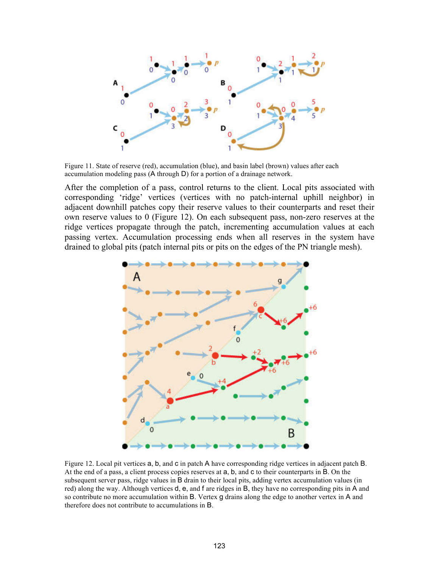

Figure 11. State of reserve (red), accumulation (blue), and basin label (brown) values after each accumulation modeling pass (A through D) for a portion of a drainage network.

After the completion of a pass, control returns to the client. Local pits associated with corresponding 'ridge' vertices (vertices with no patch-internal uphill neighbor) in adjacent downhill patches copy their reserve values to their counterparts and reset their own reserve values to 0 (Figure 12). On each subsequent pass, non-zero reserves at the ridge vertices propagate through the patch, incrementing accumulation values at each passing vertex. Accumulation processing ends when all reserves in the system have drained to global pits (patch internal pits or pits on the edges of the PN triangle mesh).



Figure 12. Local pit vertices a, b, and c in patch A have corresponding ridge vertices in adjacent patch B. At the end of a pass, a client process copies reserves at a, b, and c to their counterparts in B. On the subsequent server pass, ridge values in B drain to their local pits, adding vertex accumulation values (in red) along the way. Although vertices d, e, and f are ridges in B, they have no corresponding pits in A and so contribute no more accumulation within B. Vertex g drains along the edge to another vertex in A and therefore does not contribute to accumulations in B.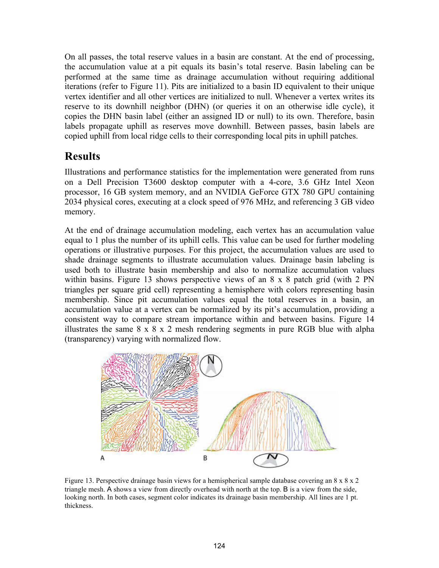On all passes, the total reserve values in a basin are constant. At the end of processing, the accumulation value at a pit equals its basin's total reserve. Basin labeling can be performed at the same time as drainage accumulation without requiring additional iterations (refer to Figure 11). Pits are initialized to a basin ID equivalent to their unique vertex identifier and all other vertices are initialized to null. Whenever a vertex writes its reserve to its downhill neighbor (DHN) (or queries it on an otherwise idle cycle), it copies the DHN basin label (either an assigned ID or null) to its own. Therefore, basin labels propagate uphill as reserves move downhill. Between passes, basin labels are copied uphill from local ridge cells to their corresponding local pits in uphill patches.

## **Results**

Illustrations and performance statistics for the implementation were generated from runs on a Dell Precision T3600 desktop computer with a 4-core, 3.6 GHz Intel Xeon processor, 16 GB system memory, and an NVIDIA GeForce GTX 780 GPU containing 2034 physical cores, executing at a clock speed of 976 MHz, and referencing 3 GB video memory.

At the end of drainage accumulation modeling, each vertex has an accumulation value equal to 1 plus the number of its uphill cells. This value can be used for further modeling operations or illustrative purposes. For this project, the accumulation values are used to shade drainage segments to illustrate accumulation values. Drainage basin labeling is used both to illustrate basin membership and also to normalize accumulation values within basins. Figure 13 shows perspective views of an 8 x 8 patch grid (with 2 PN triangles per square grid cell) representing a hemisphere with colors representing basin membership. Since pit accumulation values equal the total reserves in a basin, an accumulation value at a vertex can be normalized by its pit's accumulation, providing a consistent way to compare stream importance within and between basins. Figure 14 illustrates the same  $8 \times 8 \times 2$  mesh rendering segments in pure RGB blue with alpha (transparency) varying with normalized flow.



Figure 13. Perspective drainage basin views for a hemispherical sample database covering an  $8 \times 8 \times 2$ triangle mesh. A shows a view from directly overhead with north at the top. B is a view from the side, looking north. In both cases, segment color indicates its drainage basin membership. All lines are 1 pt. thickness.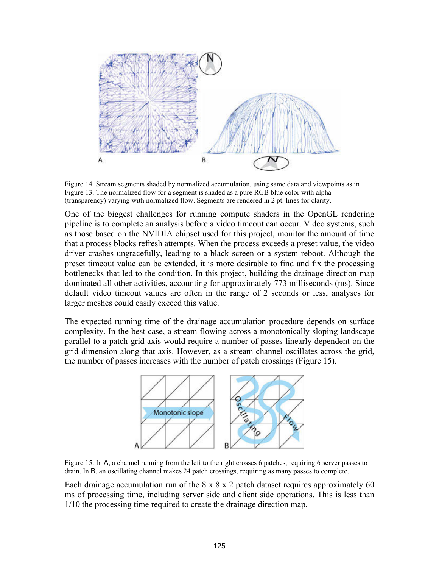

Figure 14. Stream segments shaded by normalized accumulation, using same data and viewpoints as in Figure 13. The normalized flow for a segment is shaded as a pure RGB blue color with alpha (transparency) varying with normalized flow. Segments are rendered in 2 pt. lines for clarity.

One of the biggest challenges for running compute shaders in the OpenGL rendering pipeline is to complete an analysis before a video timeout can occur. Video systems, such as those based on the NVIDIA chipset used for this project, monitor the amount of time that a process blocks refresh attempts. When the process exceeds a preset value, the video driver crashes ungracefully, leading to a black screen or a system reboot. Although the preset timeout value can be extended, it is more desirable to find and fix the processing bottlenecks that led to the condition. In this project, building the drainage direction map dominated all other activities, accounting for approximately 773 milliseconds (ms). Since default video timeout values are often in the range of 2 seconds or less, analyses for larger meshes could easily exceed this value.

The expected running time of the drainage accumulation procedure depends on surface complexity. In the best case, a stream flowing across a monotonically sloping landscape parallel to a patch grid axis would require a number of passes linearly dependent on the grid dimension along that axis. However, as a stream channel oscillates across the grid, the number of passes increases with the number of patch crossings (Figure 15).



Figure 15. In A, a channel running from the left to the right crosses 6 patches, requiring 6 server passes to drain. In B, an oscillating channel makes 24 patch crossings, requiring as many passes to complete.

Each drainage accumulation run of the  $8 \times 8 \times 2$  patch dataset requires approximately 60 ms of processing time, including server side and client side operations. This is less than 1/10 the processing time required to create the drainage direction map.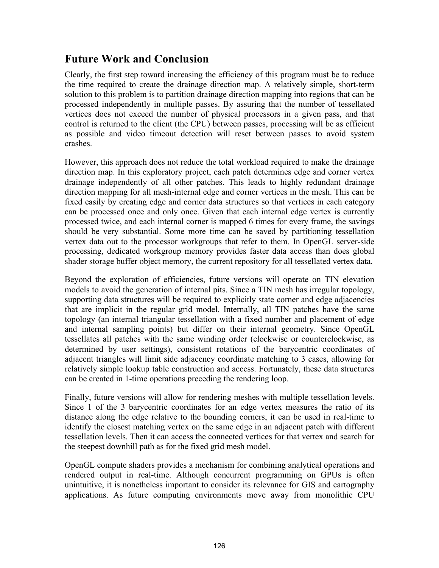### **Future Work and Conclusion**

Clearly, the first step toward increasing the efficiency of this program must be to reduce the time required to create the drainage direction map. A relatively simple, short-term solution to this problem is to partition drainage direction mapping into regions that can be processed independently in multiple passes. By assuring that the number of tessellated vertices does not exceed the number of physical processors in a given pass, and that control is returned to the client (the CPU) between passes, processing will be as efficient as possible and video timeout detection will reset between passes to avoid system crashes.

However, this approach does not reduce the total workload required to make the drainage direction map. In this exploratory project, each patch determines edge and corner vertex drainage independently of all other patches. This leads to highly redundant drainage direction mapping for all mesh-internal edge and corner vertices in the mesh. This can be fixed easily by creating edge and corner data structures so that vertices in each category can be processed once and only once. Given that each internal edge vertex is currently processed twice, and each internal corner is mapped 6 times for every frame, the savings should be very substantial. Some more time can be saved by partitioning tessellation vertex data out to the processor workgroups that refer to them. In OpenGL server-side processing, dedicated workgroup memory provides faster data access than does global shader storage buffer object memory, the current repository for all tessellated vertex data.

Beyond the exploration of efficiencies, future versions will operate on TIN elevation models to avoid the generation of internal pits. Since a TIN mesh has irregular topology, supporting data structures will be required to explicitly state corner and edge adjacencies that are implicit in the regular grid model. Internally, all TIN patches have the same topology (an internal triangular tessellation with a fixed number and placement of edge and internal sampling points) but differ on their internal geometry. Since OpenGL tessellates all patches with the same winding order (clockwise or counterclockwise, as determined by user settings), consistent rotations of the barycentric coordinates of adjacent triangles will limit side adjacency coordinate matching to 3 cases, allowing for relatively simple lookup table construction and access. Fortunately, these data structures can be created in 1-time operations preceding the rendering loop.

Finally, future versions will allow for rendering meshes with multiple tessellation levels. Since 1 of the 3 barycentric coordinates for an edge vertex measures the ratio of its distance along the edge relative to the bounding corners, it can be used in real-time to identify the closest matching vertex on the same edge in an adjacent patch with different tessellation levels. Then it can access the connected vertices for that vertex and search for the steepest downhill path as for the fixed grid mesh model.

OpenGL compute shaders provides a mechanism for combining analytical operations and rendered output in real-time. Although concurrent programming on GPUs is often unintuitive, it is nonetheless important to consider its relevance for GIS and cartography applications. As future computing environments move away from monolithic CPU